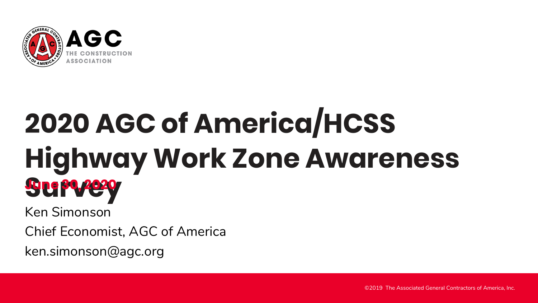

## **2020 AGC of America/HCSS Highway Work Zone Awareness Survey June 30, 2020**

Ken Simonson

Chief Economist, AGC of America

ken.simonson@agc.org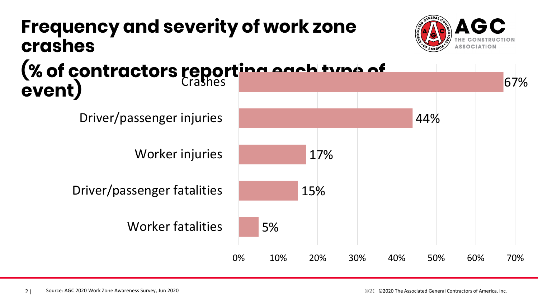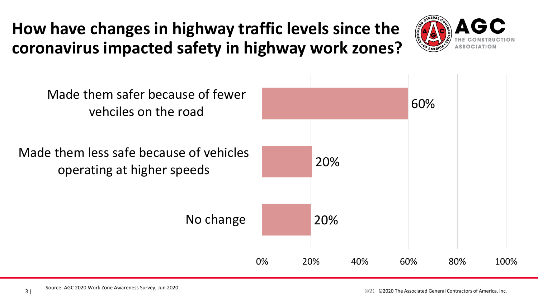## **How have changes in highway traffic levels since the coronavirus impacted safety in highway work zones?**



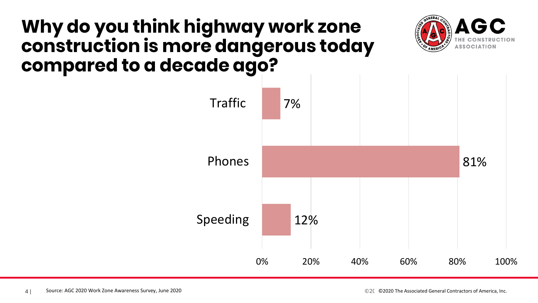## **Why do you think highway work zone construction is more dangerous today compared to a decade ago?**